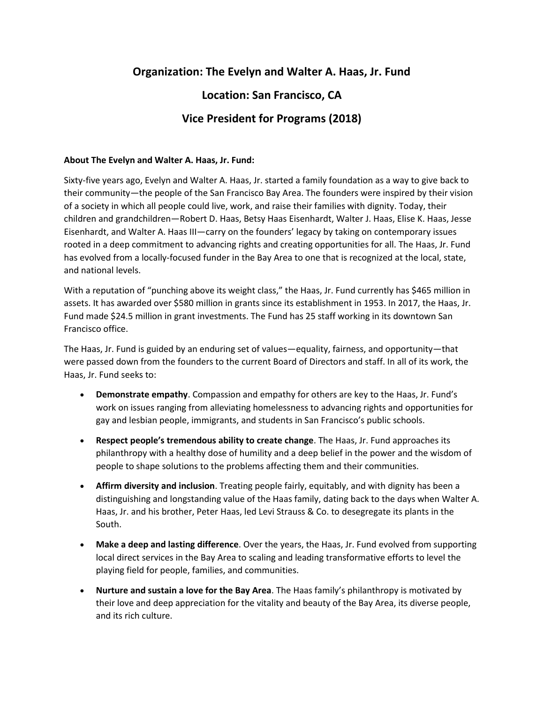# **Organization: The Evelyn and Walter A. Haas, Jr. Fund**

# **Location: San Francisco, CA**

## **Vice President for Programs (2018)**

#### **About The Evelyn and Walter A. Haas, Jr. Fund:**

Sixty-five years ago, Evelyn and Walter A. Haas, Jr. started a family foundation as a way to give back to their community—the people of the San Francisco Bay Area. The founders were inspired by their vision of a society in which all people could live, work, and raise their families with dignity. Today, their children and grandchildren—Robert D. Haas, Betsy Haas Eisenhardt, Walter J. Haas, Elise K. Haas, Jesse Eisenhardt, and Walter A. Haas III—carry on the founders' legacy by taking on contemporary issues rooted in a deep commitment to advancing rights and creating opportunities for all. The Haas, Jr. Fund has evolved from a locally-focused funder in the Bay Area to one that is recognized at the local, state, and national levels.

With a reputation of "punching above its weight class," the Haas, Jr. Fund currently has \$465 million in assets. It has awarded over \$580 million in grants since its establishment in 1953. In 2017, the Haas, Jr. Fund made \$24.5 million in grant investments. The Fund has 25 staff working in its downtown San Francisco office.

The Haas, Jr. Fund is guided by an enduring set of values—equality, fairness, and opportunity—that were passed down from the founders to the current Board of Directors and staff. In all of its work, the Haas, Jr. Fund seeks to:

- **Demonstrate empathy**. Compassion and empathy for others are key to the Haas, Jr. Fund's work on issues ranging from alleviating homelessness to advancing rights and opportunities for gay and lesbian people, immigrants, and students in San Francisco's public schools.
- **Respect people's tremendous ability to create change**. The Haas, Jr. Fund approaches its philanthropy with a healthy dose of humility and a deep belief in the power and the wisdom of people to shape solutions to the problems affecting them and their communities.
- **Affirm diversity and inclusion**. Treating people fairly, equitably, and with dignity has been a distinguishing and longstanding value of the Haas family, dating back to the days when Walter A. Haas, Jr. and his brother, Peter Haas, led Levi Strauss & Co. to desegregate its plants in the South.
- **Make a deep and lasting difference**. Over the years, the Haas, Jr. Fund evolved from supporting local direct services in the Bay Area to scaling and leading transformative efforts to level the playing field for people, families, and communities.
- **Nurture and sustain a love for the Bay Area**. The Haas family's philanthropy is motivated by their love and deep appreciation for the vitality and beauty of the Bay Area, its diverse people, and its rich culture.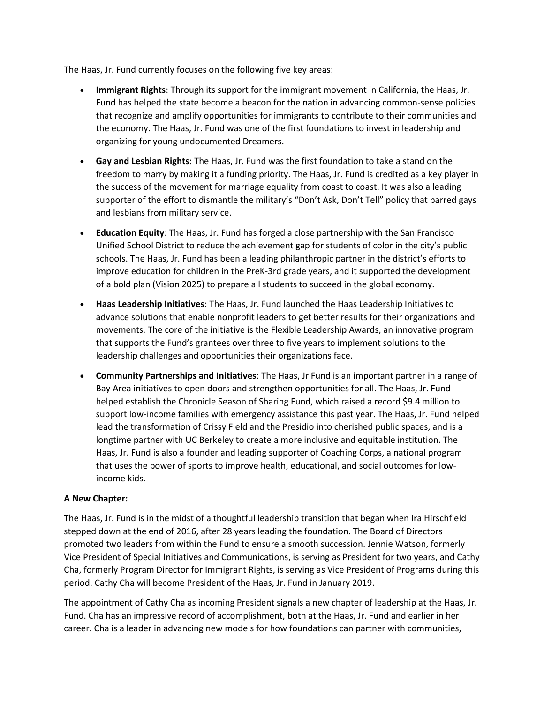The Haas, Jr. Fund currently focuses on the following five key areas:

- **Immigrant Rights**: Through its support for the immigrant movement in California, the Haas, Jr. Fund has helped the state become a beacon for the nation in advancing common-sense policies that recognize and amplify opportunities for immigrants to contribute to their communities and the economy. The Haas, Jr. Fund was one of the first foundations to invest in leadership and organizing for young undocumented Dreamers.
- **Gay and Lesbian Rights**: The Haas, Jr. Fund was the first foundation to take a stand on the freedom to marry by making it a funding priority. The Haas, Jr. Fund is credited as a key player in the success of the movement for marriage equality from coast to coast. It was also a leading supporter of the effort to dismantle the military's "Don't Ask, Don't Tell" policy that barred gays and lesbians from military service.
- **Education Equity**: The Haas, Jr. Fund has forged a close partnership with the San Francisco Unified School District to reduce the achievement gap for students of color in the city's public schools. The Haas, Jr. Fund has been a leading philanthropic partner in the district's efforts to improve education for children in the PreK-3rd grade years, and it supported the development of a bold plan (Vision 2025) to prepare all students to succeed in the global economy.
- **Haas Leadership Initiatives**: The Haas, Jr. Fund launched the Haas Leadership Initiatives to advance solutions that enable nonprofit leaders to get better results for their organizations and movements. The core of the initiative is the Flexible Leadership Awards, an innovative program that supports the Fund's grantees over three to five years to implement solutions to the leadership challenges and opportunities their organizations face.
- **Community Partnerships and Initiatives**: The Haas, Jr Fund is an important partner in a range of Bay Area initiatives to open doors and strengthen opportunities for all. The Haas, Jr. Fund helped establish the Chronicle Season of Sharing Fund, which raised a record \$9.4 million to support low-income families with emergency assistance this past year. The Haas, Jr. Fund helped lead the transformation of Crissy Field and the Presidio into cherished public spaces, and is a longtime partner with UC Berkeley to create a more inclusive and equitable institution. The Haas, Jr. Fund is also a founder and leading supporter of Coaching Corps, a national program that uses the power of sports to improve health, educational, and social outcomes for lowincome kids.

## **A New Chapter:**

The Haas, Jr. Fund is in the midst of a thoughtful leadership transition that began when Ira Hirschfield stepped down at the end of 2016, after 28 years leading the foundation. The Board of Directors promoted two leaders from within the Fund to ensure a smooth succession. Jennie Watson, formerly Vice President of Special Initiatives and Communications, is serving as President for two years, and Cathy Cha, formerly Program Director for Immigrant Rights, is serving as Vice President of Programs during this period. Cathy Cha will become President of the Haas, Jr. Fund in January 2019.

The appointment of Cathy Cha as incoming President signals a new chapter of leadership at the Haas, Jr. Fund. Cha has an impressive record of accomplishment, both at the Haas, Jr. Fund and earlier in her career. Cha is a leader in advancing new models for how foundations can partner with communities,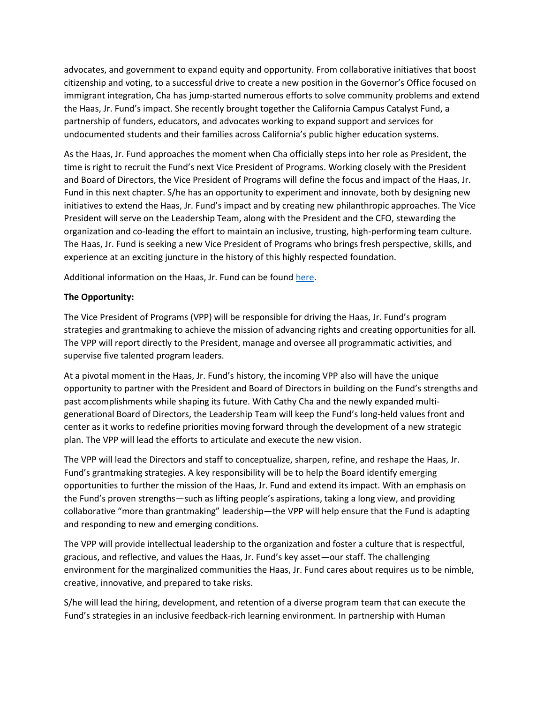advocates, and government to expand equity and opportunity. From collaborative initiatives that boost citizenship and voting, to a successful drive to create a new position in the Governor's Office focused on immigrant integration, Cha has jump-started numerous efforts to solve community problems and extend the Haas, Jr. Fund's impact. She recently brought together the California Campus Catalyst Fund, a partnership of funders, educators, and advocates working to expand support and services for undocumented students and their families across California's public higher education systems.

As the Haas, Jr. Fund approaches the moment when Cha officially steps into her role as President, the time is right to recruit the Fund's next Vice President of Programs. Working closely with the President and Board of Directors, the Vice President of Programs will define the focus and impact of the Haas, Jr. Fund in this next chapter. S/he has an opportunity to experiment and innovate, both by designing new initiatives to extend the Haas, Jr. Fund's impact and by creating new philanthropic approaches. The Vice President will serve on the Leadership Team, along with the President and the CFO, stewarding the organization and co-leading the effort to maintain an inclusive, trusting, high-performing team culture. The Haas, Jr. Fund is seeking a new Vice President of Programs who brings fresh perspective, skills, and experience at an exciting juncture in the history of this highly respected foundation.

Additional information on the Haas, Jr. Fund can be found [here.](https://www.haasjr.org/)

### **The Opportunity:**

The Vice President of Programs (VPP) will be responsible for driving the Haas, Jr. Fund's program strategies and grantmaking to achieve the mission of advancing rights and creating opportunities for all. The VPP will report directly to the President, manage and oversee all programmatic activities, and supervise five talented program leaders.

At a pivotal moment in the Haas, Jr. Fund's history, the incoming VPP also will have the unique opportunity to partner with the President and Board of Directors in building on the Fund's strengths and past accomplishments while shaping its future. With Cathy Cha and the newly expanded multigenerational Board of Directors, the Leadership Team will keep the Fund's long-held values front and center as it works to redefine priorities moving forward through the development of a new strategic plan. The VPP will lead the efforts to articulate and execute the new vision.

The VPP will lead the Directors and staff to conceptualize, sharpen, refine, and reshape the Haas, Jr. Fund's grantmaking strategies. A key responsibility will be to help the Board identify emerging opportunities to further the mission of the Haas, Jr. Fund and extend its impact. With an emphasis on the Fund's proven strengths—such as lifting people's aspirations, taking a long view, and providing collaborative "more than grantmaking" leadership—the VPP will help ensure that the Fund is adapting and responding to new and emerging conditions.

The VPP will provide intellectual leadership to the organization and foster a culture that is respectful, gracious, and reflective, and values the Haas, Jr. Fund's key asset—our staff. The challenging environment for the marginalized communities the Haas, Jr. Fund cares about requires us to be nimble, creative, innovative, and prepared to take risks.

S/he will lead the hiring, development, and retention of a diverse program team that can execute the Fund's strategies in an inclusive feedback-rich learning environment. In partnership with Human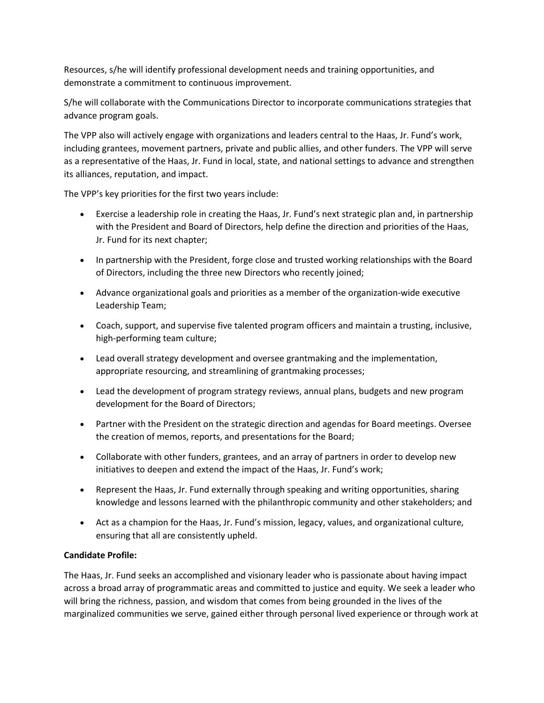Resources, s/he will identify professional development needs and training opportunities, and demonstrate a commitment to continuous improvement.

S/he will collaborate with the Communications Director to incorporate communications strategies that advance program goals.

The VPP also will actively engage with organizations and leaders central to the Haas, Jr. Fund's work, including grantees, movement partners, private and public allies, and other funders. The VPP will serve as a representative of the Haas, Jr. Fund in local, state, and national settings to advance and strengthen its alliances, reputation, and impact.

The VPP's key priorities for the first two years include:

- Exercise a leadership role in creating the Haas, Jr. Fund's next strategic plan and, in partnership with the President and Board of Directors, help define the direction and priorities of the Haas, Jr. Fund for its next chapter;
- In partnership with the President, forge close and trusted working relationships with the Board of Directors, including the three new Directors who recently joined;
- Advance organizational goals and priorities as a member of the organization-wide executive Leadership Team;
- Coach, support, and supervise five talented program officers and maintain a trusting, inclusive, high-performing team culture;
- Lead overall strategy development and oversee grantmaking and the implementation, appropriate resourcing, and streamlining of grantmaking processes;
- Lead the development of program strategy reviews, annual plans, budgets and new program development for the Board of Directors;
- Partner with the President on the strategic direction and agendas for Board meetings. Oversee the creation of memos, reports, and presentations for the Board;
- Collaborate with other funders, grantees, and an array of partners in order to develop new initiatives to deepen and extend the impact of the Haas, Jr. Fund's work;
- Represent the Haas, Jr. Fund externally through speaking and writing opportunities, sharing knowledge and lessons learned with the philanthropic community and other stakeholders; and
- Act as a champion for the Haas, Jr. Fund's mission, legacy, values, and organizational culture, ensuring that all are consistently upheld.

## **Candidate Profile:**

The Haas, Jr. Fund seeks an accomplished and visionary leader who is passionate about having impact across a broad array of programmatic areas and committed to justice and equity. We seek a leader who will bring the richness, passion, and wisdom that comes from being grounded in the lives of the marginalized communities we serve, gained either through personal lived experience or through work at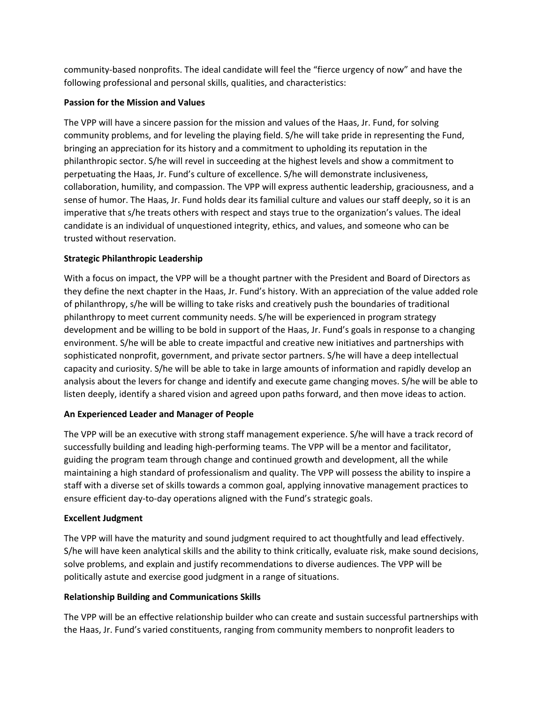community-based nonprofits. The ideal candidate will feel the "fierce urgency of now" and have the following professional and personal skills, qualities, and characteristics:

## **Passion for the Mission and Values**

The VPP will have a sincere passion for the mission and values of the Haas, Jr. Fund, for solving community problems, and for leveling the playing field. S/he will take pride in representing the Fund, bringing an appreciation for its history and a commitment to upholding its reputation in the philanthropic sector. S/he will revel in succeeding at the highest levels and show a commitment to perpetuating the Haas, Jr. Fund's culture of excellence. S/he will demonstrate inclusiveness, collaboration, humility, and compassion. The VPP will express authentic leadership, graciousness, and a sense of humor. The Haas, Jr. Fund holds dear its familial culture and values our staff deeply, so it is an imperative that s/he treats others with respect and stays true to the organization's values. The ideal candidate is an individual of unquestioned integrity, ethics, and values, and someone who can be trusted without reservation.

### **Strategic Philanthropic Leadership**

With a focus on impact, the VPP will be a thought partner with the President and Board of Directors as they define the next chapter in the Haas, Jr. Fund's history. With an appreciation of the value added role of philanthropy, s/he will be willing to take risks and creatively push the boundaries of traditional philanthropy to meet current community needs. S/he will be experienced in program strategy development and be willing to be bold in support of the Haas, Jr. Fund's goals in response to a changing environment. S/he will be able to create impactful and creative new initiatives and partnerships with sophisticated nonprofit, government, and private sector partners. S/he will have a deep intellectual capacity and curiosity. S/he will be able to take in large amounts of information and rapidly develop an analysis about the levers for change and identify and execute game changing moves. S/he will be able to listen deeply, identify a shared vision and agreed upon paths forward, and then move ideas to action.

#### **An Experienced Leader and Manager of People**

The VPP will be an executive with strong staff management experience. S/he will have a track record of successfully building and leading high-performing teams. The VPP will be a mentor and facilitator, guiding the program team through change and continued growth and development, all the while maintaining a high standard of professionalism and quality. The VPP will possess the ability to inspire a staff with a diverse set of skills towards a common goal, applying innovative management practices to ensure efficient day-to-day operations aligned with the Fund's strategic goals.

#### **Excellent Judgment**

The VPP will have the maturity and sound judgment required to act thoughtfully and lead effectively. S/he will have keen analytical skills and the ability to think critically, evaluate risk, make sound decisions, solve problems, and explain and justify recommendations to diverse audiences. The VPP will be politically astute and exercise good judgment in a range of situations.

#### **Relationship Building and Communications Skills**

The VPP will be an effective relationship builder who can create and sustain successful partnerships with the Haas, Jr. Fund's varied constituents, ranging from community members to nonprofit leaders to